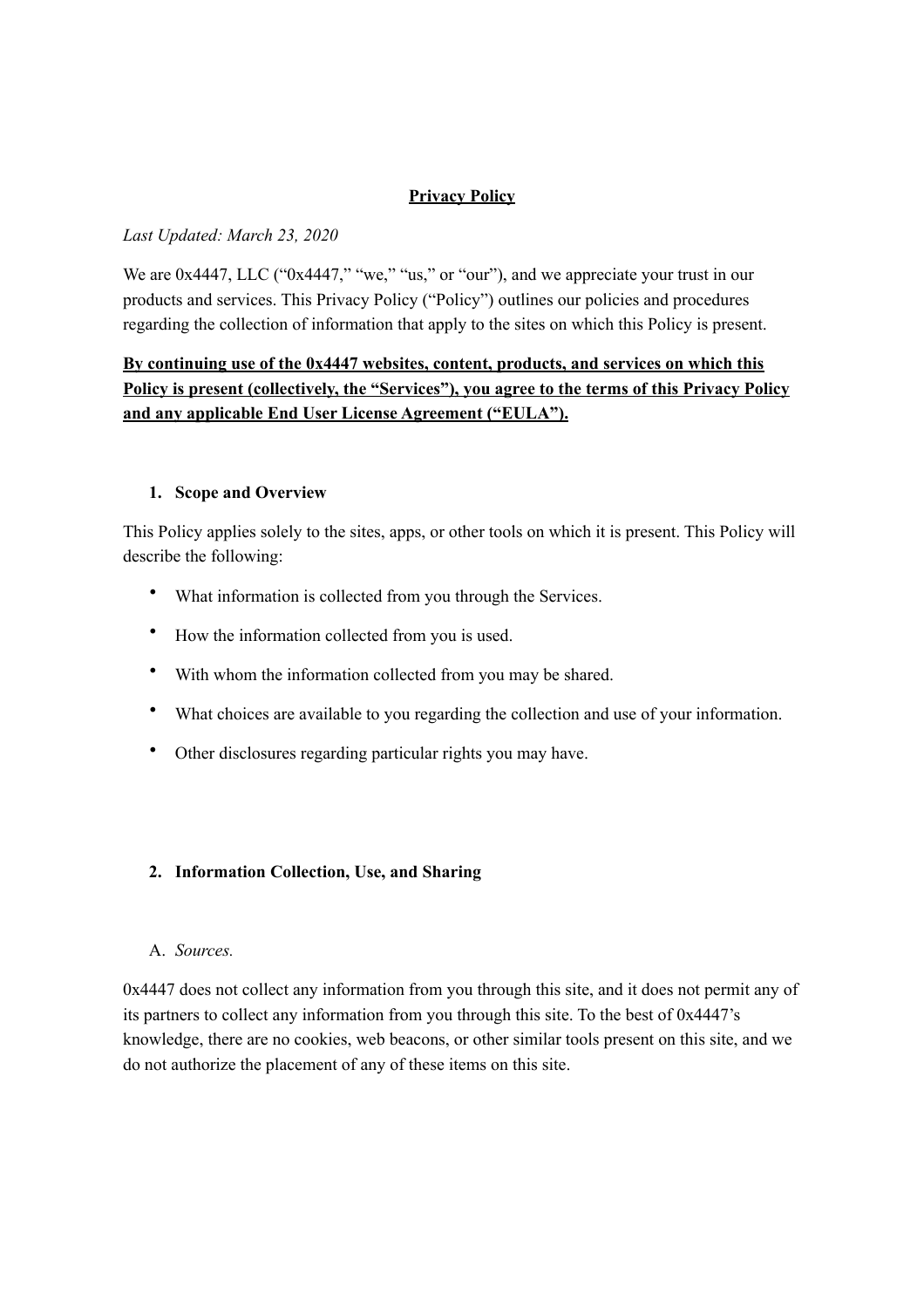### **Privacy Policy**

#### *Last Updated: March 23, 2020*

We are 0x4447, LLC ("0x4447," "we," "us," or "our"), and we appreciate your trust in our products and services. This Privacy Policy ("Policy") outlines our policies and procedures regarding the collection of information that apply to the sites on which this Policy is present.

## **By continuing use of the 0x4447 websites, content, products, and services on which this Policy is present (collectively, the "Services"), you agree to the terms of this Privacy Policy and any applicable End User License Agreement ("EULA").**

#### **1. Scope and Overview**

This Policy applies solely to the sites, apps, or other tools on which it is present. This Policy will describe the following:

- What information is collected from you through the Services.
- How the information collected from you is used.
- With whom the information collected from you may be shared.
- What choices are available to you regarding the collection and use of your information.
- Other disclosures regarding particular rights you may have.

### **2. Information Collection, Use, and Sharing**

### A. *Sources.*

0x4447 does not collect any information from you through this site, and it does not permit any of its partners to collect any information from you through this site. To the best of 0x4447's knowledge, there are no cookies, web beacons, or other similar tools present on this site, and we do not authorize the placement of any of these items on this site.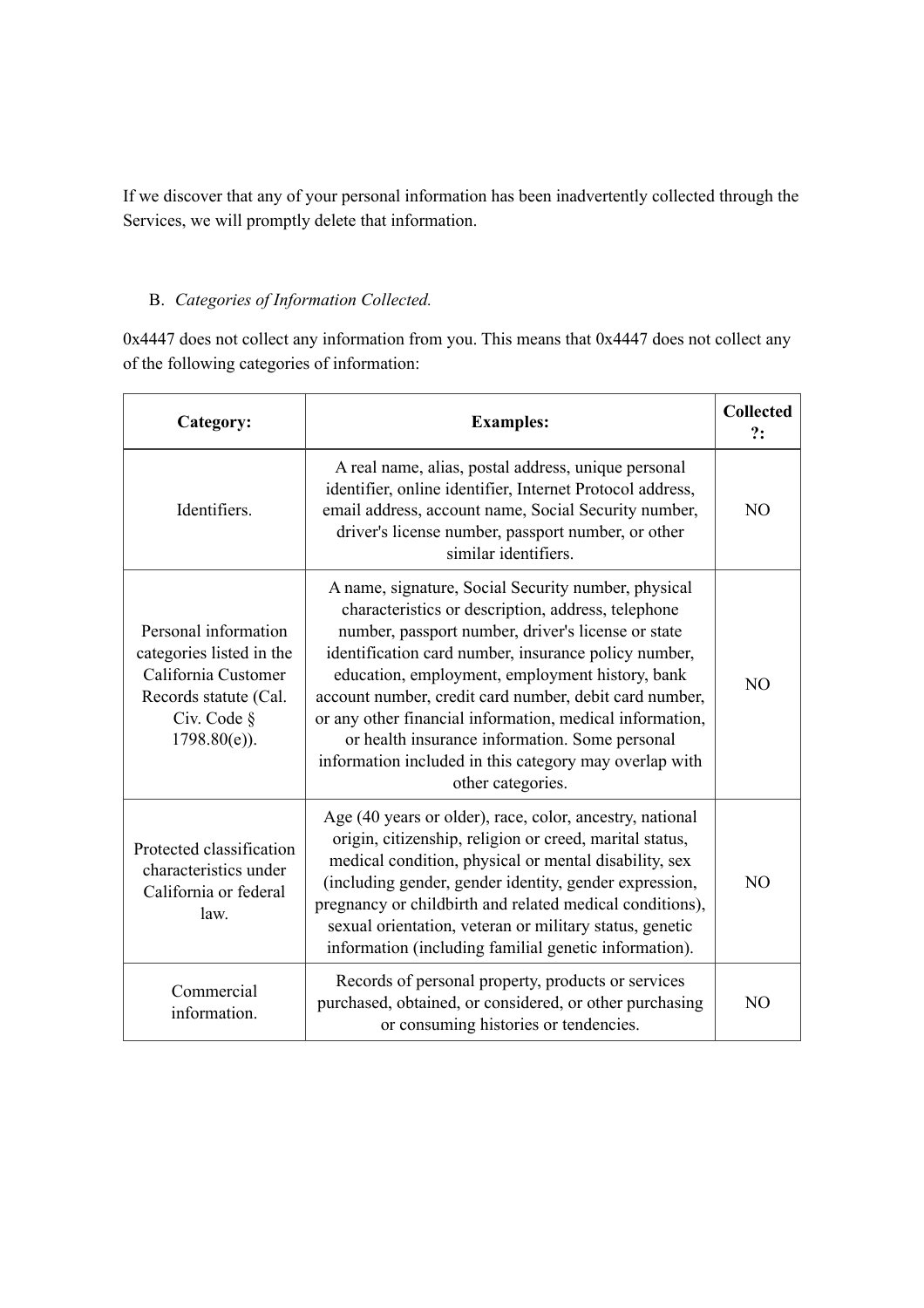If we discover that any of your personal information has been inadvertently collected through the Services, we will promptly delete that information.

# B. *Categories of Information Collected.*

0x4447 does not collect any information from you. This means that 0x4447 does not collect any of the following categories of information:

| Category:                                                                                                                             | <b>Examples:</b>                                                                                                                                                                                                                                                                                                                                                                                                                                                                                                                  | <b>Collected</b><br>?: |
|---------------------------------------------------------------------------------------------------------------------------------------|-----------------------------------------------------------------------------------------------------------------------------------------------------------------------------------------------------------------------------------------------------------------------------------------------------------------------------------------------------------------------------------------------------------------------------------------------------------------------------------------------------------------------------------|------------------------|
| Identifiers.                                                                                                                          | A real name, alias, postal address, unique personal<br>identifier, online identifier, Internet Protocol address,<br>email address, account name, Social Security number,<br>driver's license number, passport number, or other<br>similar identifiers.                                                                                                                                                                                                                                                                            | N <sub>O</sub>         |
| Personal information<br>categories listed in the<br>California Customer<br>Records statute (Cal.<br>Civ. Code $\S$<br>$1798.80(e)$ ). | A name, signature, Social Security number, physical<br>characteristics or description, address, telephone<br>number, passport number, driver's license or state<br>identification card number, insurance policy number,<br>education, employment, employment history, bank<br>account number, credit card number, debit card number,<br>or any other financial information, medical information,<br>or health insurance information. Some personal<br>information included in this category may overlap with<br>other categories. | N <sub>O</sub>         |
| Protected classification<br>characteristics under<br>California or federal<br>law.                                                    | Age (40 years or older), race, color, ancestry, national<br>origin, citizenship, religion or creed, marital status,<br>medical condition, physical or mental disability, sex<br>(including gender, gender identity, gender expression,<br>pregnancy or childbirth and related medical conditions),<br>sexual orientation, veteran or military status, genetic<br>information (including familial genetic information).                                                                                                            | N <sub>O</sub>         |
| Commercial<br>information.                                                                                                            | Records of personal property, products or services<br>purchased, obtained, or considered, or other purchasing<br>or consuming histories or tendencies.                                                                                                                                                                                                                                                                                                                                                                            | N <sub>O</sub>         |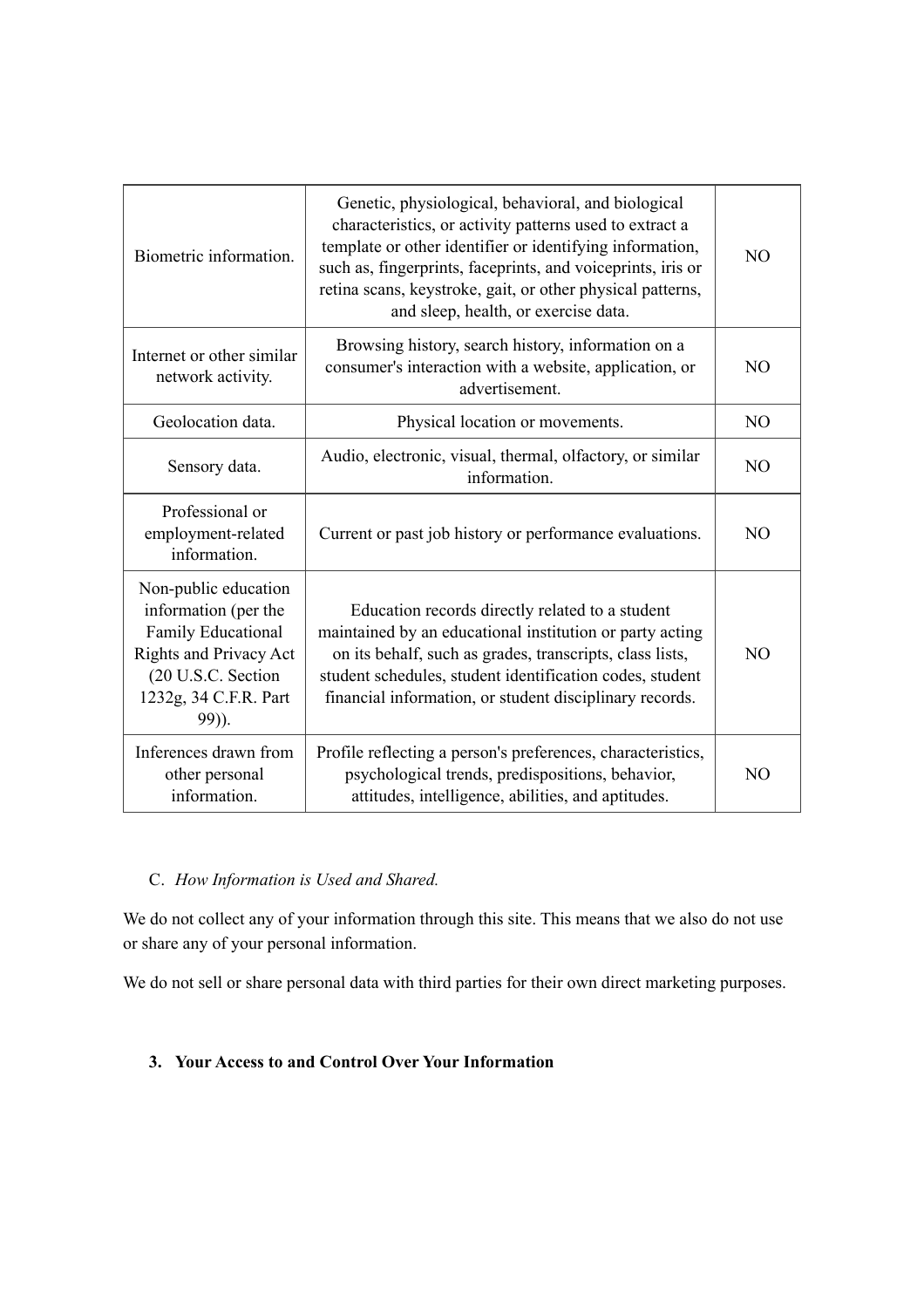| Biometric information.                                                                                                                                      | Genetic, physiological, behavioral, and biological<br>characteristics, or activity patterns used to extract a<br>template or other identifier or identifying information,<br>such as, fingerprints, faceprints, and voiceprints, iris or<br>retina scans, keystroke, gait, or other physical patterns,<br>and sleep, health, or exercise data. | N <sub>O</sub> |
|-------------------------------------------------------------------------------------------------------------------------------------------------------------|------------------------------------------------------------------------------------------------------------------------------------------------------------------------------------------------------------------------------------------------------------------------------------------------------------------------------------------------|----------------|
| Internet or other similar<br>network activity.                                                                                                              | Browsing history, search history, information on a<br>consumer's interaction with a website, application, or<br>advertisement.                                                                                                                                                                                                                 | N <sub>O</sub> |
| Geolocation data.                                                                                                                                           | Physical location or movements.                                                                                                                                                                                                                                                                                                                | N <sub>O</sub> |
| Sensory data.                                                                                                                                               | Audio, electronic, visual, thermal, olfactory, or similar<br>information.                                                                                                                                                                                                                                                                      | N <sub>O</sub> |
| Professional or<br>employment-related<br>information.                                                                                                       | Current or past job history or performance evaluations.                                                                                                                                                                                                                                                                                        | N <sub>O</sub> |
| Non-public education<br>information (per the<br>Family Educational<br><b>Rights and Privacy Act</b><br>(20 U.S.C. Section<br>1232g, 34 C.F.R. Part<br>99)). | Education records directly related to a student<br>maintained by an educational institution or party acting<br>on its behalf, such as grades, transcripts, class lists,<br>student schedules, student identification codes, student<br>financial information, or student disciplinary records.                                                 | N <sub>O</sub> |
| Inferences drawn from<br>other personal<br>information.                                                                                                     | Profile reflecting a person's preferences, characteristics,<br>psychological trends, predispositions, behavior,<br>attitudes, intelligence, abilities, and aptitudes.                                                                                                                                                                          | N <sub>O</sub> |

# C. *How Information is Used and Shared.*

We do not collect any of your information through this site. This means that we also do not use or share any of your personal information.

We do not sell or share personal data with third parties for their own direct marketing purposes.

## **3. Your Access to and Control Over Your Information**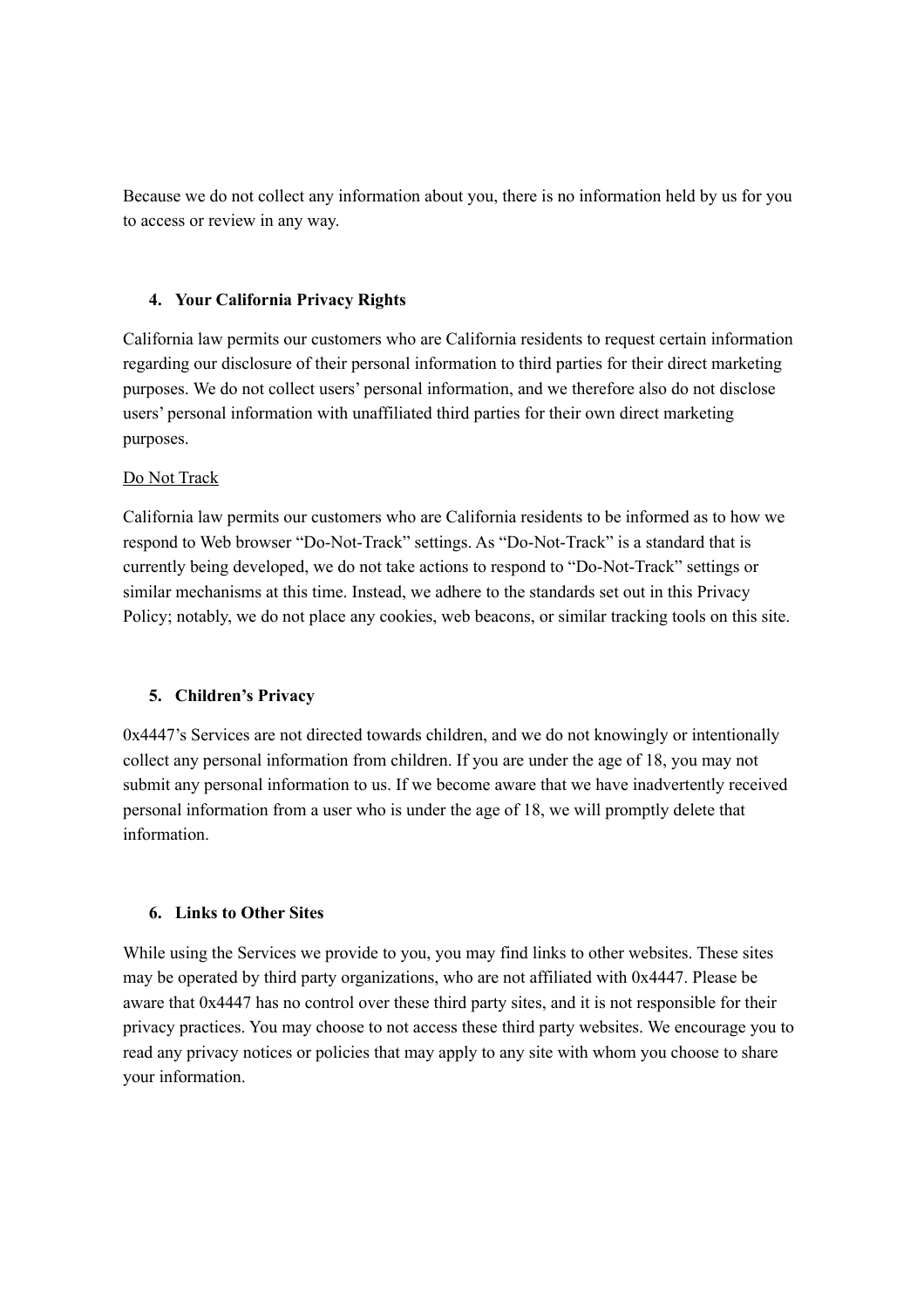Because we do not collect any information about you, there is no information held by us for you to access or review in any way.

### **4. Your California Privacy Rights**

California law permits our customers who are California residents to request certain information regarding our disclosure of their personal information to third parties for their direct marketing purposes. We do not collect users' personal information, and we therefore also do not disclose users' personal information with unaffiliated third parties for their own direct marketing purposes.

### Do Not Track

California law permits our customers who are California residents to be informed as to how we respond to Web browser "Do-Not-Track" settings. As "Do-Not-Track" is a standard that is currently being developed, we do not take actions to respond to "Do-Not-Track" settings or similar mechanisms at this time. Instead, we adhere to the standards set out in this Privacy Policy; notably, we do not place any cookies, web beacons, or similar tracking tools on this site.

## **5. Children's Privacy**

0x4447's Services are not directed towards children, and we do not knowingly or intentionally collect any personal information from children. If you are under the age of 18, you may not submit any personal information to us. If we become aware that we have inadvertently received personal information from a user who is under the age of 18, we will promptly delete that information.

### **6. Links to Other Sites**

While using the Services we provide to you, you may find links to other websites. These sites may be operated by third party organizations, who are not affiliated with 0x4447. Please be aware that 0x4447 has no control over these third party sites, and it is not responsible for their privacy practices. You may choose to not access these third party websites. We encourage you to read any privacy notices or policies that may apply to any site with whom you choose to share your information.